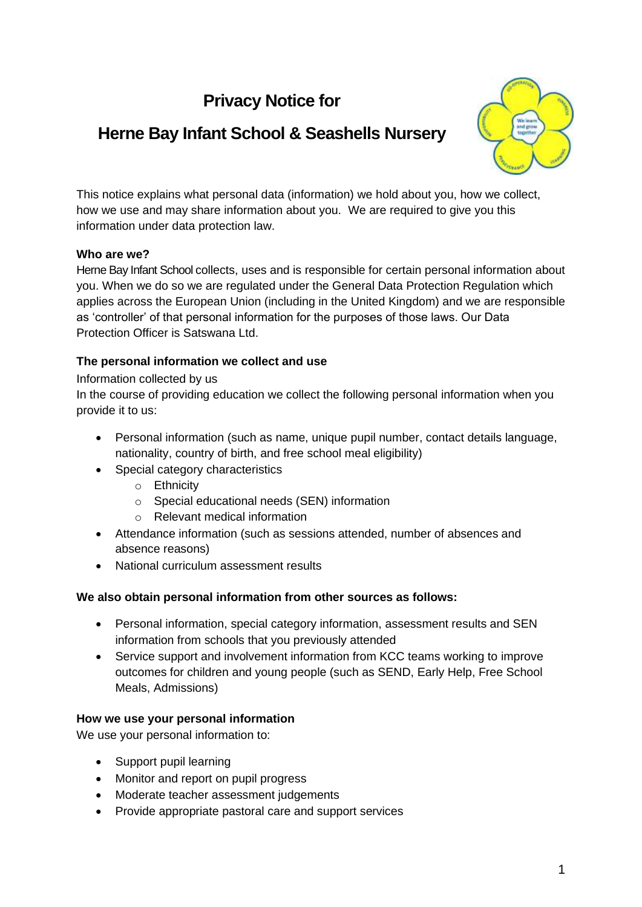# **Privacy Notice for**

# **Herne Bay Infant School & Seashells Nursery**



This notice explains what personal data (information) we hold about you, how we collect, how we use and may share information about you. We are required to give you this information under data protection law.

# **Who are we?**

Herne Bay Infant School collects, uses and is responsible for certain personal information about you. When we do so we are regulated under the General Data Protection Regulation which applies across the European Union (including in the United Kingdom) and we are responsible as 'controller' of that personal information for the purposes of those laws. Our Data Protection Officer is Satswana Ltd.

# **The personal information we collect and use**

## Information collected by us

In the course of providing education we collect the following personal information when you provide it to us:

- Personal information (such as name, unique pupil number, contact details language, nationality, country of birth, and free school meal eligibility)
- Special category characteristics
	- o Ethnicity
	- o Special educational needs (SEN) information
	- o Relevant medical information
- Attendance information (such as sessions attended, number of absences and absence reasons)
- National curriculum assessment results

## **We also obtain personal information from other sources as follows:**

- Personal information, special category information, assessment results and SEN information from schools that you previously attended
- Service support and involvement information from KCC teams working to improve outcomes for children and young people (such as SEND, Early Help, Free School Meals, Admissions)

## **How we use your personal information**

We use your personal information to:

- Support pupil learning
- Monitor and report on pupil progress
- Moderate teacher assessment judgements
- Provide appropriate pastoral care and support services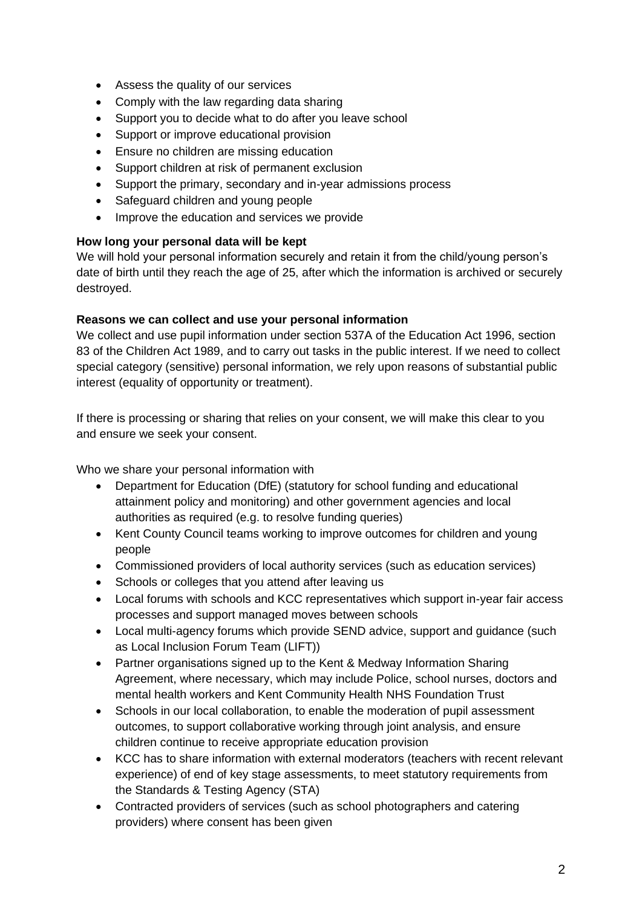- Assess the quality of our services
- Comply with the law regarding data sharing
- Support you to decide what to do after you leave school
- Support or improve educational provision
- Ensure no children are missing education
- Support children at risk of permanent exclusion
- Support the primary, secondary and in-year admissions process
- Safeguard children and young people
- Improve the education and services we provide

#### **How long your personal data will be kept**

We will hold your personal information securely and retain it from the child/young person's date of birth until they reach the age of 25, after which the information is archived or securely destroyed.

#### **Reasons we can collect and use your personal information**

We collect and use pupil information under section 537A of the Education Act 1996, section 83 of the Children Act 1989, and to carry out tasks in the public interest. If we need to collect special category (sensitive) personal information, we rely upon reasons of substantial public interest (equality of opportunity or treatment).

If there is processing or sharing that relies on your consent, we will make this clear to you and ensure we seek your consent.

Who we share your personal information with

- Department for Education (DfE) (statutory for school funding and educational attainment policy and monitoring) and other government agencies and local authorities as required (e.g. to resolve funding queries)
- Kent County Council teams working to improve outcomes for children and young people
- Commissioned providers of local authority services (such as education services)
- Schools or colleges that you attend after leaving us
- Local forums with schools and KCC representatives which support in-year fair access processes and support managed moves between schools
- Local multi-agency forums which provide SEND advice, support and guidance (such as Local Inclusion Forum Team (LIFT))
- Partner organisations signed up to the Kent & Medway Information Sharing Agreement, where necessary, which may include Police, school nurses, doctors and mental health workers and Kent Community Health NHS Foundation Trust
- Schools in our local collaboration, to enable the moderation of pupil assessment outcomes, to support collaborative working through joint analysis, and ensure children continue to receive appropriate education provision
- KCC has to share information with external moderators (teachers with recent relevant experience) of end of key stage assessments, to meet statutory requirements from the Standards & Testing Agency (STA)
- Contracted providers of services (such as school photographers and catering providers) where consent has been given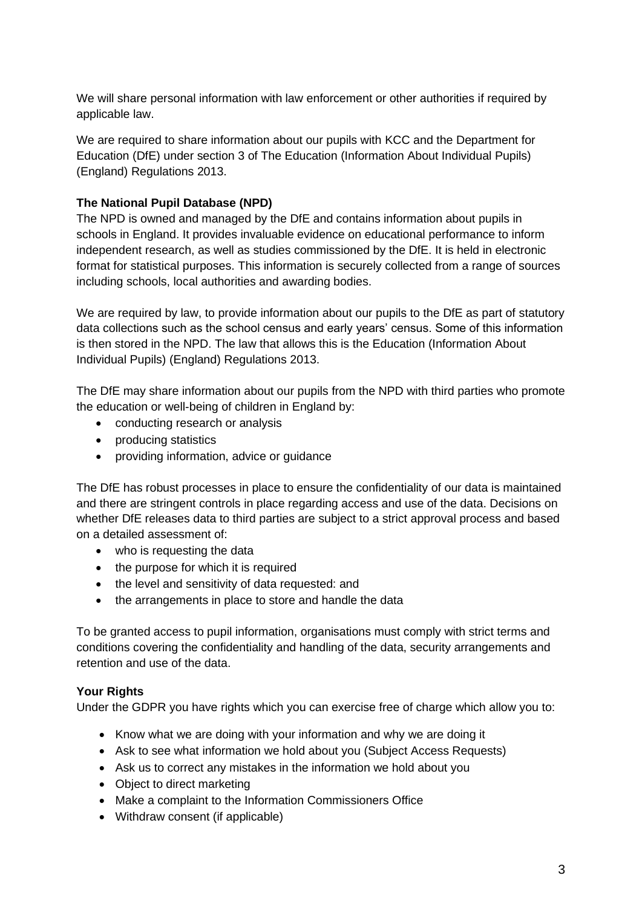We will share personal information with law enforcement or other authorities if required by applicable law.

We are required to share information about our pupils with KCC and the Department for Education (DfE) under section 3 of The Education (Information About Individual Pupils) (England) Regulations 2013.

## **The National Pupil Database (NPD)**

The NPD is owned and managed by the DfE and contains information about pupils in schools in England. It provides invaluable evidence on educational performance to inform independent research, as well as studies commissioned by the DfE. It is held in electronic format for statistical purposes. This information is securely collected from a range of sources including schools, local authorities and awarding bodies.

We are required by law, to provide information about our pupils to the DfE as part of statutory data collections such as the school census and early years' census. Some of this information is then stored in the NPD. The law that allows this is the Education (Information About Individual Pupils) (England) Regulations 2013.

The DfE may share information about our pupils from the NPD with third parties who promote the education or well-being of children in England by:

- conducting research or analysis
- producing statistics
- providing information, advice or guidance

The DfE has robust processes in place to ensure the confidentiality of our data is maintained and there are stringent controls in place regarding access and use of the data. Decisions on whether DfE releases data to third parties are subject to a strict approval process and based on a detailed assessment of:

- who is requesting the data
- the purpose for which it is required
- the level and sensitivity of data requested: and
- the arrangements in place to store and handle the data

To be granted access to pupil information, organisations must comply with strict terms and conditions covering the confidentiality and handling of the data, security arrangements and retention and use of the data.

## **Your Rights**

Under the GDPR you have rights which you can exercise free of charge which allow you to:

- Know what we are doing with your information and why we are doing it
- Ask to see what information we hold about you (Subject Access Requests)
- Ask us to correct any mistakes in the information we hold about you
- Object to direct marketing
- Make a complaint to the Information Commissioners Office
- Withdraw consent (if applicable)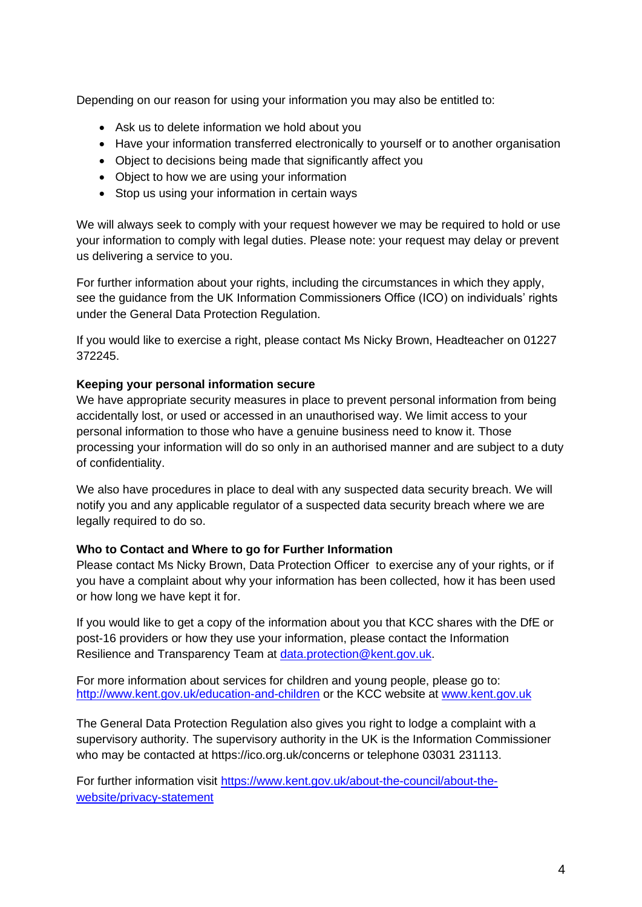Depending on our reason for using your information you may also be entitled to:

- Ask us to delete information we hold about you
- Have your information transferred electronically to yourself or to another organisation
- Object to decisions being made that significantly affect you
- Object to how we are using your information
- Stop us using your information in certain ways

We will always seek to comply with your request however we may be required to hold or use your information to comply with legal duties. Please note: your request may delay or prevent us delivering a service to you.

For further information about your rights, including the circumstances in which they apply, see the guidance from the UK Information Commissioners Office (ICO) on individuals' rights under the General Data Protection Regulation.

If you would like to exercise a right, please contact Ms Nicky Brown, Headteacher on 01227 372245.

#### **Keeping your personal information secure**

We have appropriate security measures in place to prevent personal information from being accidentally lost, or used or accessed in an unauthorised way. We limit access to your personal information to those who have a genuine business need to know it. Those processing your information will do so only in an authorised manner and are subject to a duty of confidentiality.

We also have procedures in place to deal with any suspected data security breach. We will notify you and any applicable regulator of a suspected data security breach where we are legally required to do so.

#### **Who to Contact and Where to go for Further Information**

Please contact Ms Nicky Brown, Data Protection Officer to exercise any of your rights, or if you have a complaint about why your information has been collected, how it has been used or how long we have kept it for.

If you would like to get a copy of the information about you that KCC shares with the DfE or post-16 providers or how they use your information, please contact the Information Resilience and Transparency Team at [data.protection@kent.gov.uk.](mailto:data.protection@kent.gov.uk)

For more information about services for children and young people, please go to: <http://www.kent.gov.uk/education-and-children> or the KCC website at [www.kent.gov.uk](http://www.kent.gov.uk/)

The General Data Protection Regulation also gives you right to lodge a complaint with a supervisory authority. The supervisory authority in the UK is the Information Commissioner who may be contacted at https://ico.org.uk/concerns or telephone 03031 231113.

For further information visit [https://www.kent.gov.uk/about-the-council/about-the](https://www.kent.gov.uk/about-the-council/about-the-website/privacy-statement)[website/privacy-statement](https://www.kent.gov.uk/about-the-council/about-the-website/privacy-statement)